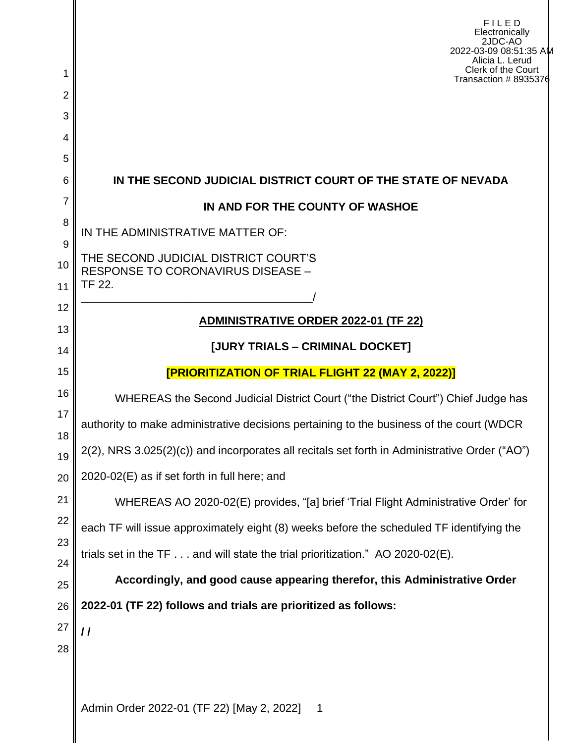| 1        | FILED<br>Electronically<br>2JDC-AO<br>2022-03-09 08:51:35 AM<br>Alicia L. Lerud<br>Clerk of the Court<br>Transaction # 8935376 |  |  |  |  |  |
|----------|--------------------------------------------------------------------------------------------------------------------------------|--|--|--|--|--|
| 2        |                                                                                                                                |  |  |  |  |  |
| 3<br>4   |                                                                                                                                |  |  |  |  |  |
| 5        |                                                                                                                                |  |  |  |  |  |
| 6        | IN THE SECOND JUDICIAL DISTRICT COURT OF THE STATE OF NEVADA                                                                   |  |  |  |  |  |
| 7        | IN AND FOR THE COUNTY OF WASHOE                                                                                                |  |  |  |  |  |
| 8        | IN THE ADMINISTRATIVE MATTER OF:                                                                                               |  |  |  |  |  |
| 9<br>10  | THE SECOND JUDICIAL DISTRICT COURT'S                                                                                           |  |  |  |  |  |
| 11       | <b>RESPONSE TO CORONAVIRUS DISEASE -</b><br>TF 22.                                                                             |  |  |  |  |  |
| 12       |                                                                                                                                |  |  |  |  |  |
| 13       | <b>ADMINISTRATIVE ORDER 2022-01 (TF 22)</b>                                                                                    |  |  |  |  |  |
| 14       | [JURY TRIALS - CRIMINAL DOCKET]                                                                                                |  |  |  |  |  |
| 15       | [PRIORITIZATION OF TRIAL FLIGHT 22 (MAY 2, 2022)]                                                                              |  |  |  |  |  |
| 16       | WHEREAS the Second Judicial District Court ("the District Court") Chief Judge has                                              |  |  |  |  |  |
| 17<br>18 | authority to make administrative decisions pertaining to the business of the court (WDCR                                       |  |  |  |  |  |
| 19       | 2(2), NRS 3.025(2)(c)) and incorporates all recitals set forth in Administrative Order ("AO")                                  |  |  |  |  |  |
| 20       | 2020-02(E) as if set forth in full here; and                                                                                   |  |  |  |  |  |
| 21       | WHEREAS AO 2020-02(E) provides, "[a] brief 'Trial Flight Administrative Order' for                                             |  |  |  |  |  |
| 22       | each TF will issue approximately eight (8) weeks before the scheduled TF identifying the                                       |  |  |  |  |  |
| 23<br>24 | trials set in the $TF \dots$ and will state the trial prioritization." AO 2020-02(E).                                          |  |  |  |  |  |
| 25       | Accordingly, and good cause appearing therefor, this Administrative Order                                                      |  |  |  |  |  |
| 26       | 2022-01 (TF 22) follows and trials are prioritized as follows:                                                                 |  |  |  |  |  |
| 27       | $\prime$                                                                                                                       |  |  |  |  |  |
| 28       |                                                                                                                                |  |  |  |  |  |
|          | Admin Order 2022-01 (TF 22) [May 2, 2022]<br>$\mathbf 1$                                                                       |  |  |  |  |  |